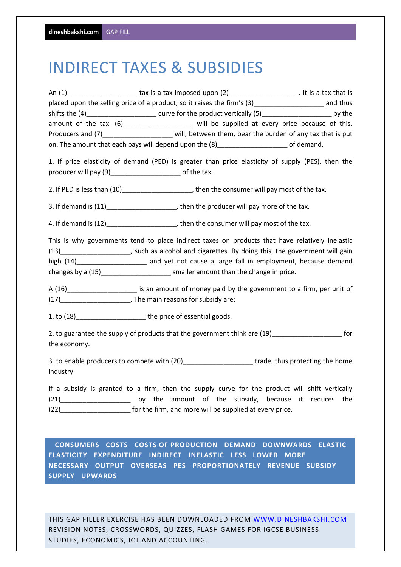## INDIRECT TAXES & SUBSIDIES

|              | placed upon the selling price of a product, so it raises the firm's (3)________________________ and thus        |  |
|--------------|-----------------------------------------------------------------------------------------------------------------|--|
|              | shifts the (4)___________________________ curve for the product vertically (5)__________________________ by the |  |
|              | amount of the tax. (6)_____________________ will be supplied at every price because of this.                    |  |
|              | Producers and (7)_______________________ will, between them, bear the burden of any tax that is put             |  |
|              | on. The amount that each pays will depend upon the (8)________________________of demand.                        |  |
|              | 1. If price elasticity of demand (PED) is greater than price elasticity of supply (PES), then the               |  |
|              | producer will pay (9)________________________ of the tax.                                                       |  |
|              | 2. If PED is less than (10)________________________, then the consumer will pay most of the tax.                |  |
|              | 3. If demand is (11)_________________________, then the producer will pay more of the tax.                      |  |
|              |                                                                                                                 |  |
|              | This is why governments tend to place indirect taxes on products that have relatively inelastic                 |  |
|              | (13)______________________, such as alcohol and cigarettes. By doing this, the government will gain             |  |
|              | high (14)______________________ and yet not cause a large fall in employment, because demand                    |  |
|              | changes by a (15)________________________ smaller amount than the change in price.                              |  |
|              | A (16)_______________________ is an amount of money paid by the government to a firm, per unit of               |  |
|              | (17)__________________________. The main reasons for subsidy are:                                               |  |
|              | 1. to (18)___________________________ the price of essential goods.                                             |  |
|              | 2. to guarantee the supply of products that the government think are (19)______________________ for             |  |
| the economy. |                                                                                                                 |  |
|              | 3. to enable producers to compete with (20)_______________________trade, thus protecting the home               |  |
| industry.    |                                                                                                                 |  |
|              | If a subsidy is granted to a firm, then the supply curve for the product will shift vertically                  |  |
|              | (21)______________________ by the amount of the subsidy, because it reduces the                                 |  |
|              | (22)_________________________ for the firm, and more will be supplied at every price.                           |  |
|              |                                                                                                                 |  |
|              | COSTS OF PRODUCTION DEMAND DOMAINING                                                                            |  |

 **CONSUMERS COSTS COSTS OF PRODUCTION DEMAND DOWNWARDS ELASTIC ELASTICITY EXPENDITURE INDIRECT INELASTIC LESS LOWER MORE NECESSARY OUTPUT OVERSEAS PES PROPORTIONATELY REVENUE SUBSIDY SUPPLY UPWARDS** 

THIS GAP FILLER EXERCISE HAS BEEN DOWNLOADED FROM WWW.DINESHBAKSHI.COM REVISION NOTES, CROSSWORDS, QUIZZES, FLASH GAMES FOR IGCSE BUSINESS STUDIES, ECONOMICS, ICT AND ACCOUNTING.